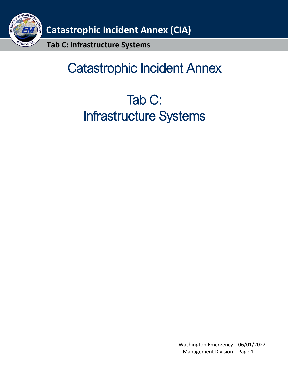

# Catastrophic Incident Annex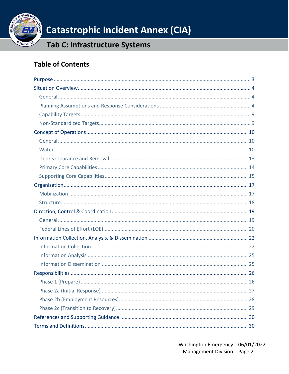

## Tab C: Infrastructure Systems

## **Table of Contents**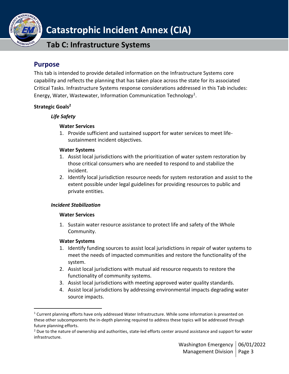

## **Tab C: Infrastructure Systems**

## <span id="page-2-0"></span>**Purpose**

This tab is intended to provide detailed information on the Infrastructure Systems core capability and reflects the planning that has taken place across the state for its associated Critical Tasks. Infrastructure Systems response considerations addressed in this Tab includes: Energy, Water, Wastewater, Information Communication Technology<sup>1</sup>.

### **Strategic Goals<sup>2</sup>**

### *Life Safety*

#### **Water Services**

1. Provide sufficient and sustained support for water services to meet lifesustainment incident objectives.

#### **Water Systems**

- 1. Assist local jurisdictions with the prioritization of water system restoration by those critical consumers who are needed to respond to and stabilize the incident.
- 2. Identify local jurisdiction resource needs for system restoration and assist to the extent possible under legal guidelines for providing resources to public and private entities.

#### *Incident Stabilization*

#### **Water Services**

1. Sustain water resource assistance to protect life and safety of the Whole Community.

#### **Water Systems**

- 1. Identify funding sources to assist local jurisdictions in repair of water systems to meet the needs of impacted communities and restore the functionality of the system.
- 2. Assist local jurisdictions with mutual aid resource requests to restore the functionality of community systems.
- 3. Assist local jurisdictions with meeting approved water quality standards.
- 4. Assist local jurisdictions by addressing environmental impacts degrading water source impacts.

 $1$  Current planning efforts have only addressed Water Infrastructure. While some information is presented on these other subcomponents the in-depth planning required to address these topics will be addressed through future planning efforts.

 $<sup>2</sup>$  Due to the nature of ownership and authorities, state-led efforts center around assistance and support for water</sup> infrastructure.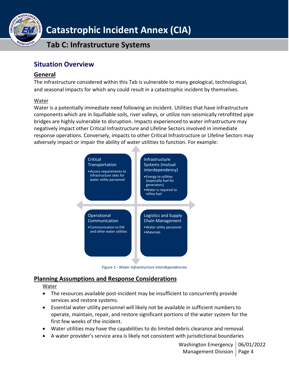

**Tab C: Infrastructure Systems**

## <span id="page-3-0"></span>**Situation Overview**

### <span id="page-3-1"></span>**General**

The infrastructure considered within this Tab is vulnerable to many geological, technological, and seasonal impacts for which any could result in a catastrophic incident by themselves.

### Water

Water is a potentially immediate need following an incident. Utilities that have infrastructure components which are in liquifiable soils, river valleys, or utilize non-seismically retrofitted pipe bridges are highly vulnerable to disruption. Impacts experienced to water infrastructure may negatively impact other Critical Infrastructure and Lifeline Sectors involved in immediate response operations. Conversely, impacts to other Critical Infrastructure or Lifeline Sectors may adversely impact or impair the ability of water utilities to function. For example:



*Figure 1 - Water Infrastructure Interdependencies*

### <span id="page-3-2"></span>**Planning Assumptions and Response Considerations**

Water

- The resources available post-incident may be insufficient to concurrently provide services and restore systems.
- Essential water utility personnel will likely not be available in sufficient numbers to operate, maintain, repair, and restore significant portions of the water system for the first few weeks of the incident.
- Water utilities may have the capabilities to do limited debris clearance and removal.
- A water provider's service area is likely not consistent with jurisdictional boundaries

Washington Emergency | 06/01/2022 Management Division | Page 4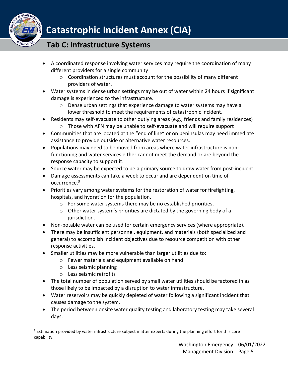

- A coordinated response involving water services may require the coordination of many different providers for a single community
	- $\circ$  Coordination structures must account for the possibility of many different providers of water.
- Water systems in dense urban settings may be out of water within 24 hours if significant damage is experienced to the infrastructure.
	- o Dense urban settings that experience damage to water systems may have a lower threshold to meet the requirements of catastrophic incident.
- Residents may self-evacuate to other outlying areas (e.g., friends and family residences)
	- o Those with AFN may be unable to self-evacuate and will require support
- Communities that are located at the "end of line" or on peninsulas may need immediate assistance to provide outside or alternative water resources.
- Populations may need to be moved from areas where water infrastructure is nonfunctioning and water services either cannot meet the demand or are beyond the response capacity to support it.
- Source water may be expected to be a primary source to draw water from post-incident.
- Damage assessments can take a week to occur and are dependent on time of occurrence. 3
- Priorities vary among water systems for the restoration of water for firefighting, hospitals, and hydration for the population.
	- o For some water systems there may be no established priorities.
	- o Other water system's priorities are dictated by the governing body of a jurisdiction.
- Non-potable water can be used for certain emergency services (where appropriate).
- There may be insufficient personnel, equipment, and materials (both specialized and general) to accomplish incident objectives due to resource competition with other response activities.
- Smaller utilities may be more vulnerable than larger utilities due to:
	- o Fewer materials and equipment available on hand
	- o Less seismic planning
	- o Less seismic retrofits
- The total number of population served by small water utilities should be factored in as those likely to be impacted by a disruption to water infrastructure.
- Water reservoirs may be quickly depleted of water following a significant incident that causes damage to the system.
- The period between onsite water quality testing and laboratory testing may take several days.

<sup>&</sup>lt;sup>3</sup> Estimation provided by water infrastructure subject matter experts during the planning effort for this core capability.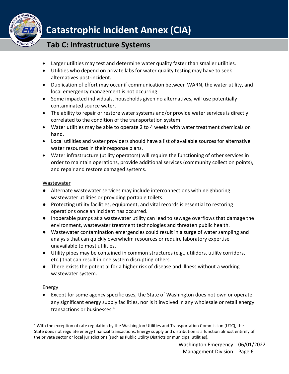

## **Tab C: Infrastructure Systems**

- Larger utilities may test and determine water quality faster than smaller utilities.
- Utilities who depend on private labs for water quality testing may have to seek alternatives post-incident.
- Duplication of effort may occur if communication between WARN, the water utility, and local emergency management is not occurring.
- Some impacted individuals, households given no alternatives, will use potentially contaminated source water.
- The ability to repair or restore water systems and/or provide water services is directly correlated to the condition of the transportation system.
- Water utilities may be able to operate 2 to 4 weeks with water treatment chemicals on hand.
- Local utilities and water providers should have a list of available sources for alternative water resources in their response plans.
- Water infrastructure (utility operators) will require the functioning of other services in order to maintain operations, provide additional services (community collection points), and repair and restore damaged systems.

### **Wastewater**

- Alternate wastewater services may include interconnections with neighboring wastewater utilities or providing portable toilets.
- Protecting utility facilities, equipment, and vital records is essential to restoring operations once an incident has occurred.
- Inoperable pumps at a wastewater utility can lead to sewage overflows that damage the environment, wastewater treatment technologies and threaten public health.
- Wastewater contamination emergencies could result in a surge of water sampling and analysis that can quickly overwhelm resources or require laboratory expertise unavailable to most utilities.
- Utility pipes may be contained in common structures (e.g., utilidors, utility corridors, etc.) that can result in one system disrupting others.
- There exists the potential for a higher risk of disease and illness without a working wastewater system.

#### **Energy**

• Except for some agency specific uses, the State of Washington does not own or operate any significant energy supply facilities, nor is it involved in any wholesale or retail energy transactions or businesses.<sup>4</sup>

<sup>4</sup> With the exception of rate regulation by the Washington Utilities and Transportation Commission (UTC), the State does not regulate energy financial transactions. Energy supply and distribution is a function almost entirely of the private sector or local jurisdictions (such as Public Utility Districts or municipal utilities).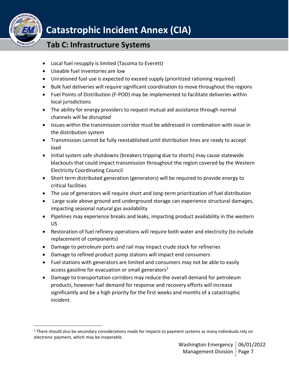

- Local fuel resupply is limited (Tacoma to Everett)
- Useable fuel inventories are low
- Unrationed fuel use is expected to exceed supply (prioritized rationing required)
- Bulk fuel deliveries will require significant coordination to move throughout the regions
- Fuel Points of Distribution (F-POD) may be implemented to facilitate deliveries within local jurisdictions
- The ability for energy providers to request mutual aid assistance through normal channels will be disrupted
- Issues within the transmission corridor must be addressed in combination with issue in the distribution system
- Transmission cannot be fully reestablished until distribution lines are ready to accept load
- Initial system safe shutdowns (breakers tripping due to shorts) may cause statewide blackouts that could impact transmission throughout the region covered by the Western Electricity Coordinating Council
- Short term distributed generation (generators) will be required to provide energy to critical facilities
- The use of generators will require short and long-term prioritization of fuel distribution
- Large scale above ground and underground storage can experience structural damages, impacting seasonal natural gas availability
- Pipelines may experience breaks and leaks, impacting product availability in the western US
- Restoration of fuel refinery operations will require both water and electricity (to include replacement of components)
- Damage to petroleum ports and rail may impact crude stock for refineries
- Damage to refined product pump stations will impact end consumers
- Fuel stations with generators are limited and consumers may not be able to easily access gasoline for evacuation or small generators<sup>5</sup>
- Damage to transportation corridors may reduce the overall demand for petroleum products, however fuel demand for response and recovery efforts will increase significantly and be a high priority for the first weeks and months of a catastrophic incident.

<sup>&</sup>lt;sup>5</sup> There should also be secondary considerations made for impacts to payment systems as many individuals rely on electronic payment, which may be inoperable.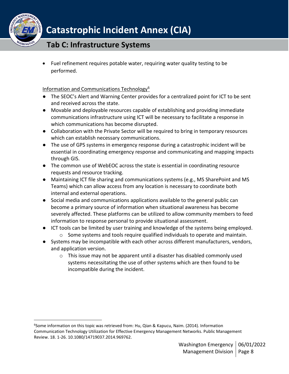

## **Tab C: Infrastructure Systems**

• Fuel refinement requires potable water, requiring water quality testing to be performed.

### Information and Communications Technology<sup>6</sup>

- The SEOC's Alert and Warning Center provides for a centralized point for ICT to be sent and received across the state.
- Movable and deployable resources capable of establishing and providing immediate communications infrastructure using ICT will be necessary to facilitate a response in which communications has become disrupted.
- Collaboration with the Private Sector will be required to bring in temporary resources which can establish necessary communications.
- The use of GPS systems in emergency response during a catastrophic incident will be essential in coordinating emergency response and communicating and mapping impacts through GIS.
- The common use of WebEOC across the state is essential in coordinating resource requests and resource tracking.
- Maintaining ICT file sharing and communications systems (e.g., MS SharePoint and MS Teams) which can allow access from any location is necessary to coordinate both internal and external operations.
- Social media and communications applications available to the general public can become a primary source of information when situational awareness has become severely affected. These platforms can be utilized to allow community members to feed information to response personal to provide situational assessment.
- ICT tools can be limited by user training and knowledge of the systems being employed.
- o Some systems and tools require qualified individuals to operate and maintain. ● Systems may be incompatible with each other across different manufacturers, vendors,
	- and application version.
		- $\circ$  This issue may not be apparent until a disaster has disabled commonly used systems necessitating the use of other systems which are then found to be incompatible during the incident.

<sup>6</sup> Some information on this topic was retrieved from: Hu, Qian & Kapucu, Naim. (2014). Information Communication Technology Utilization for Effective Emergency Management Networks. Public Management Review. 18. 1-26. 10.1080/14719037.2014.969762.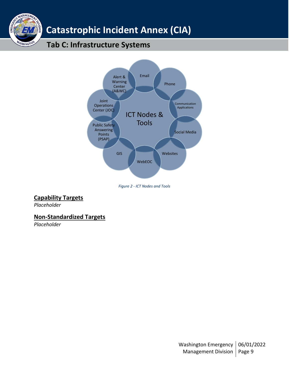

## **Tab C: Infrastructure Systems**



*Figure 2 - ICT Nodes and Tools*

### <span id="page-8-0"></span>**Capability Targets**

*Placeholder*

MANAGEME

WASHINGTO

EME

### <span id="page-8-1"></span>**Non-Standardized Targets**

<span id="page-8-2"></span>*Placeholder*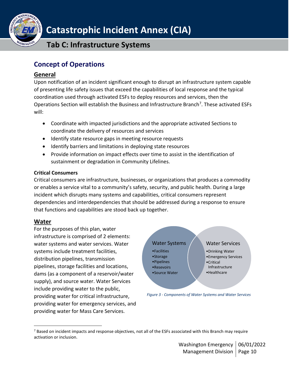

**Tab C: Infrastructure Systems**

## **Concept of Operations**

## <span id="page-9-0"></span>**General**

Upon notification of an incident significant enough to disrupt an infrastructure system capable of presenting life safety issues that exceed the capabilities of local response and the typical coordination used through activated ESFs to deploy resources and services, then the Operations Section will establish the Business and Infrastructure Branch<sup>7</sup>. These activated ESFs will:

- Coordinate with impacted jurisdictions and the appropriate activated Sections to coordinate the delivery of resources and services
- Identify state resource gaps in meeting resource requests
- Identify barriers and limitations in deploying state resources
- Provide information on impact effects over time to assist in the identification of sustainment or degradation in Community Lifelines.

### **Critical Consumers**

Critical consumers are infrastructure, businesses, or organizations that produces a commodity or enables a service vital to a community's safety, security, and public health. During a large incident which disrupts many systems and capabilities, critical consumers represent dependencies and interdependencies that should be addressed during a response to ensure that functions and capabilities are stood back up together.

### <span id="page-9-1"></span>**Water**

For the purposes of this plan, water infrastructure is comprised of 2 elements: water systems and water services. Water systems include treatment facilities, distribution pipelines, transmission pipelines, storage facilities and locations, dams (as a component of a reservoir/water supply), and source water. Water Services include providing water to the public, providing water for critical infrastructure, providing water for emergency services, and providing water for Mass Care Services.



*Figure 3 - Components of Water Systems and Water Services*

 $7$  Based on incident impacts and response objectives, not all of the ESFs associated with this Branch may require activation or inclusion.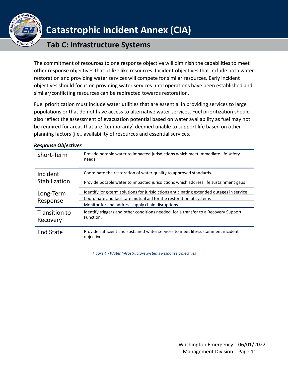

## **Tab C: Infrastructure Systems**

The commitment of resources to one response objective will diminish the capabilities to meet other response objectives that utilize like resources. Incident objectives that include both water restoration and providing water services will compete for similar resources. Early incident objectives should focus on providing water services until operations have been established and similar/conflicting resources can be redirected towards restoration.

Fuel prioritization must include water utilities that are essential in providing services to large populations or that do not have access to alternative water services. Fuel prioritization should also reflect the assessment of evacuation potential based on water availability as fuel may not be required for areas that are [temporarily] deemed unable to support life based on other planning factors (i.e., availability of resources and essential services.

| Short-Term                | Provide potable water to impacted jurisdictions which meet immediate life safety<br>needs.       |
|---------------------------|--------------------------------------------------------------------------------------------------|
| Incident                  | Coordinate the restoration of water quality to approved standards                                |
| Stabilization             | Provide potable water to impacted jurisdictions which address life sustainment gaps              |
| Long-Term                 | Identify long-term solutions for jurisidictions anticipating extended outages in service         |
|                           | Coordinate and facilitate mutual aid for the restoration of systems                              |
| Response                  | Monitor for and address supply chain disruptions                                                 |
| Transition to<br>Recovery | Identify triggers and other conditions needed for a transfer to a Recovery Support<br>Function.  |
| <b>End State</b>          | Provide sufficient and sustained water services to meet life-sustainment incident<br>objectives. |

#### *Response Objectives*

*Figure 4 - Water Infrastructure Systems Response Objectives*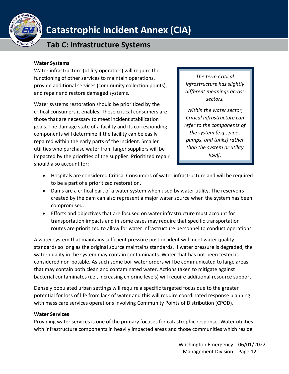

## **Tab C: Infrastructure Systems**

#### **Water Systems**

Water infrastructure (utility operators) will require the functioning of other services to maintain operations, provide additional services (community collection points), and repair and restore damaged systems.

Water systems restoration should be prioritized by the critical consumers it enables. These critical consumers are those that are necessary to meet incident stabilization goals. The damage state of a facility and its corresponding components will determine if the facility can be easily repaired within the early parts of the incident. Smaller utilities who purchase water from larger suppliers will be impacted by the priorities of the supplier. Prioritized repair should also account for:

*The term Critical Infrastructure has slightly different meanings across sectors.* 

*Within the water sector, Critical Infrastructure can refer to the components of the system (e.g., pipes pumps, and tanks) rather than the system or utility itself.*

- Hospitals are considered Critical Consumers of water infrastructure and will be required to be a part of a prioritized restoration.
- Dams are a critical part of a water system when used by water utility. The reservoirs created by the dam can also represent a major water source when the system has been compromised.
- Efforts and objectives that are focused on water infrastructure must account for transportation impacts and in some cases may require that specific transportation routes are prioritized to allow for water infrastructure personnel to conduct operations

A water system that maintains sufficient pressure post-incident will meet water quality standards so long as the original source maintains standards. If water pressure is degraded, the water quality in the system may contain contaminants. Water that has not been tested is considered non-potable. As such some boil water orders will be communicated to large areas that may contain both clean and contaminated water. Actions taken to mitigate against bacterial contaminates (i.e., increasing chlorine levels) will require additional resource support.

Densely populated urban settings will require a specific targeted focus due to the greater potential for loss of life from lack of water and this will require coordinated response planning with mass care services operations involving Community Points of Distribution (CPOD).

#### **Water Services**

Providing water services is one of the primary focuses for catastrophic response. Water utilities with infrastructure components in heavily impacted areas and those communities which reside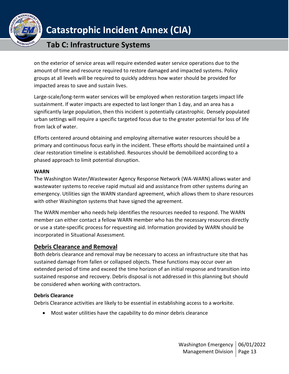

## **Tab C: Infrastructure Systems**

on the exterior of service areas will require extended water service operations due to the amount of time and resource required to restore damaged and impacted systems. Policy groups at all levels will be required to quickly address how water should be provided for impacted areas to save and sustain lives.

Large-scale/long-term water services will be employed when restoration targets impact life sustainment. If water impacts are expected to last longer than 1 day, and an area has a significantly large population, then this incident is potentially catastrophic. Densely populated urban settings will require a specific targeted focus due to the greater potential for loss of life from lack of water.

Efforts centered around obtaining and employing alternative water resources should be a primary and continuous focus early in the incident. These efforts should be maintained until a clear restoration timeline is established. Resources should be demobilized according to a phased approach to limit potential disruption.

### **WARN**

The Washington Water/Wastewater Agency Response Network (WA-WARN) allows water and wastewater systems to receive rapid mutual aid and assistance from other systems during an emergency. Utilities sign the WARN standard agreement, which allows them to share resources with other Washington systems that have signed the agreement.

The WARN member who needs help identifies the resources needed to respond. The WARN member can either contact a fellow WARN member who has the necessary resources directly or use a state-specific process for requesting aid. Information provided by WARN should be incorporated in Situational Assessment.

### <span id="page-12-0"></span>**Debris Clearance and Removal**

Both debris clearance and removal may be necessary to access an infrastructure site that has sustained damage from fallen or collapsed objects. These functions may occur over an extended period of time and exceed the time horizon of an initial response and transition into sustained response and recovery. Debris disposal is not addressed in this planning but should be considered when working with contractors.

#### **Debris Clearance**

Debris Clearance activities are likely to be essential in establishing access to a worksite.

• Most water utilities have the capability to do minor debris clearance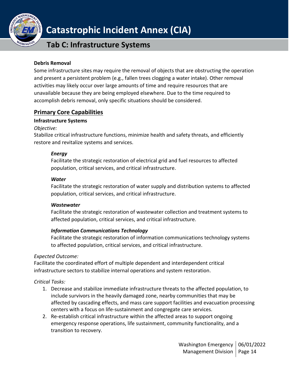

## **Tab C: Infrastructure Systems**

#### **Debris Removal**

Some infrastructure sites may require the removal of objects that are obstructing the operation and present a persistent problem (e.g., fallen trees clogging a water intake). Other removal activities may likely occur over large amounts of time and require resources that are unavailable because they are being employed elsewhere. Due to the time required to accomplish debris removal, only specific situations should be considered.

### <span id="page-13-0"></span>**Primary Core Capabilities**

### **Infrastructure Systems**

*Objective:*

Stabilize critical infrastructure functions, minimize health and safety threats, and efficiently restore and revitalize systems and services.

#### *Energy*

Facilitate the strategic restoration of electrical grid and fuel resources to affected population, critical services, and critical infrastructure.

#### *Water*

Facilitate the strategic restoration of water supply and distribution systems to affected population, critical services, and critical infrastructure.

#### *Wastewater*

Facilitate the strategic restoration of wastewater collection and treatment systems to affected population, critical services, and critical infrastructure.

#### *Information Communications Technology*

Facilitate the strategic restoration of information communications technology systems to affected population, critical services, and critical infrastructure.

#### *Expected Outcome:*

Facilitate the coordinated effort of multiple dependent and interdependent critical infrastructure sectors to stabilize internal operations and system restoration.

### *Critical Tasks:*

- 1. Decrease and stabilize immediate infrastructure threats to the affected population, to include survivors in the heavily damaged zone, nearby communities that may be affected by cascading effects, and mass care support facilities and evacuation processing centers with a focus on life-sustainment and congregate care services.
- 2. Re-establish critical infrastructure within the affected areas to support ongoing emergency response operations, life sustainment, community functionality, and a transition to recovery.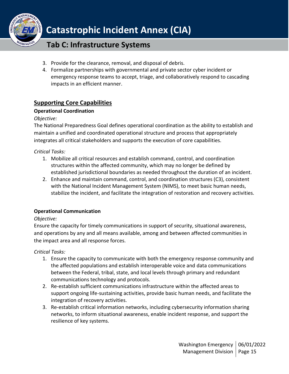

## **Tab C: Infrastructure Systems**

- 3. Provide for the clearance, removal, and disposal of debris.
- 4. Formalize partnerships with governmental and private sector cyber incident or emergency response teams to accept, triage, and collaboratively respond to cascading impacts in an efficient manner.

## <span id="page-14-0"></span>**Supporting Core Capabilities**

### **Operational Coordination**

### *Objective:*

The National Preparedness Goal defines operational coordination as the ability to establish and maintain a unified and coordinated operational structure and process that appropriately integrates all critical stakeholders and supports the execution of core capabilities.

*Critical Tasks:*

- 1. Mobilize all critical resources and establish command, control, and coordination structures within the affected community, which may no longer be defined by established jurisdictional boundaries as needed throughout the duration of an incident.
- 2. Enhance and maintain command, control, and coordination structures (C3), consistent with the National Incident Management System (NIMS), to meet basic human needs, stabilize the incident, and facilitate the integration of restoration and recovery activities.

### **Operational Communication**

#### *Objective:*

Ensure the capacity for timely communications in support of security, situational awareness, and operations by any and all means available, among and between affected communities in the impact area and all response forces.

*Critical Tasks:*

- 1. Ensure the capacity to communicate with both the emergency response community and the affected populations and establish interoperable voice and data communications between the Federal, tribal, state, and local levels through primary and redundant communications technology and protocols.
- 2. Re-establish sufficient communications infrastructure within the affected areas to support ongoing life-sustaining activities, provide basic human needs, and facilitate the integration of recovery activities.
- 3. Re-establish critical information networks, including cybersecurity information sharing networks, to inform situational awareness, enable incident response, and support the resilience of key systems.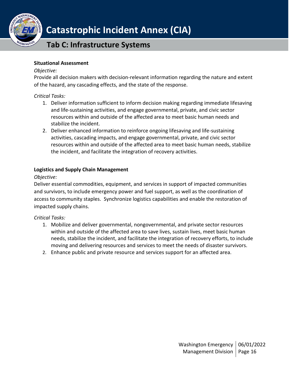

## **Tab C: Infrastructure Systems**

#### **Situational Assessment**

#### *Objective:*

Provide all decision makers with decision-relevant information regarding the nature and extent of the hazard, any cascading effects, and the state of the response.

#### *Critical Tasks:*

- 1. Deliver information sufficient to inform decision making regarding immediate lifesaving and life-sustaining activities, and engage governmental, private, and civic sector resources within and outside of the affected area to meet basic human needs and stabilize the incident.
- 2. Deliver enhanced information to reinforce ongoing lifesaving and life-sustaining activities, cascading impacts, and engage governmental, private, and civic sector resources within and outside of the affected area to meet basic human needs, stabilize the incident, and facilitate the integration of recovery activities.

### **Logistics and Supply Chain Management**

### *Objective:*

Deliver essential commodities, equipment, and services in support of impacted communities and survivors, to include emergency power and fuel support, as well as the coordination of access to community staples. Synchronize logistics capabilities and enable the restoration of impacted supply chains.

#### *Critical Tasks:*

- 1. Mobilize and deliver governmental, nongovernmental, and private sector resources within and outside of the affected area to save lives, sustain lives, meet basic human needs, stabilize the incident, and facilitate the integration of recovery efforts, to include moving and delivering resources and services to meet the needs of disaster survivors.
- <span id="page-15-0"></span>2. Enhance public and private resource and services support for an affected area.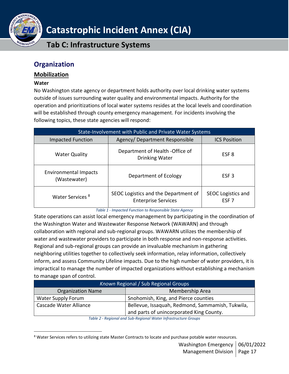

**Tab C: Infrastructure Systems**

## **Organization**

### <span id="page-16-0"></span>**Mobilization**

#### **Water**

No Washington state agency or department holds authority over local drinking water systems outside of issues surrounding water quality and environmental impacts. Authority for the operation and prioritizations of local water systems resides at the local levels and coordination will be established through county emergency management. For incidents involving the following topics, these state agencies will respond:

| <b>State-Involvement with Public and Private Water Systems</b> |                                                                    |                                               |  |  |
|----------------------------------------------------------------|--------------------------------------------------------------------|-----------------------------------------------|--|--|
| <b>Impacted Function</b>                                       | Agency/Department Responsible                                      | <b>ICS Position</b>                           |  |  |
| <b>Water Quality</b>                                           | Department of Health - Office of<br>Drinking Water                 | ESF <sub>8</sub>                              |  |  |
| <b>Environmental Impacts</b><br>(Wastewater)                   | Department of Ecology                                              | ESF <sub>3</sub>                              |  |  |
| Water Services <sup>8</sup>                                    | SEOC Logistics and the Department of<br><b>Enterprise Services</b> | <b>SEOC Logistics and</b><br>ESF <sub>7</sub> |  |  |

*Table 1 - Impacted Function to Responsible State Agency*

State operations can assist local emergency management by participating in the coordination of the Washington Water and Wastewater Response Network (WAWARN) and through collaboration with regional and sub-regional groups. WAWARN utilizes the membership of water and wastewater providers to participate in both response and non-response activities. Regional and sub-regional groups can provide an invaluable mechanism in gathering neighboring utilities together to collectively seek information, relay information, collectively inform, and assess Community Lifeline impacts. Due to the high number of water providers, it is impractical to manage the number of impacted organizations without establishing a mechanism to manage span of control.

| Known Regional / Sub Regional Groups |                                                  |  |
|--------------------------------------|--------------------------------------------------|--|
| <b>Organization Name</b>             | Membership Area                                  |  |
| Water Supply Forum                   | Snohomish, King, and Pierce counties             |  |
| Cascade Water Alliance               | Bellevue, Issaquah, Redmond, Sammamish, Tukwila, |  |
|                                      | and parts of unincorporated King County.         |  |

*Table 2 - Regional and Sub-Regional Water Infrastructure Groups*

<sup>&</sup>lt;sup>8</sup> Water Services refers to utilizing state Master Contracts to locate and purchase potable water resources.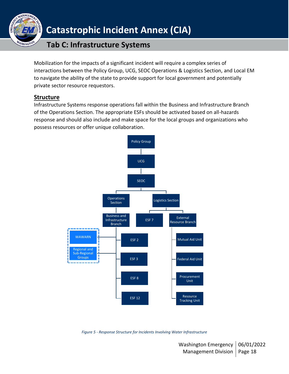

## **Tab C: Infrastructure Systems**

Mobilization for the impacts of a significant incident will require a complex series of interactions between the Policy Group, UCG, SEOC Operations & Logistics Section, and Local EM to navigate the ability of the state to provide support for local government and potentially private sector resource requestors.

## **Structure**

Infrastructure Systems response operations fall within the Business and Infrastructure Branch of the Operations Section. The appropriate ESFs should be activated based on all-hazards response and should also include and make space for the local groups and organizations who possess resources or offer unique collaboration.

<span id="page-17-0"></span>

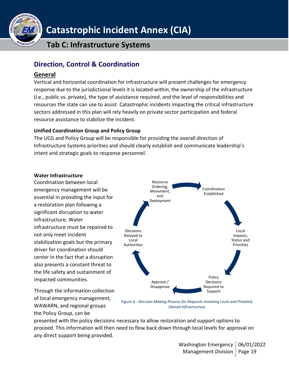

**Tab C: Infrastructure Systems**

## <span id="page-18-0"></span>**Direction, Control & Coordination**

### <span id="page-18-1"></span>**General**

Vertical and horizontal coordination for infrastructure will present challenges for emergency response due to the jurisdictional levels it is located within, the ownership of the infrastructure (i.e., public vs. private), the type of assistance required, and the level of responsibilities and resources the state can use to assist. Catastrophic incidents impacting the critical infrastructure sectors addressed in this plan will rely heavily on private sector participation and federal resource assistance to stabilize the incident.

### **Unified Coordination Group and Policy Group**

The UCG and Policy Group will be responsible for providing the overall direction of Infrastructure Systems priorities and should clearly establish and communicate leadership's intent and strategic goals to response personnel.

### **Water Infrastructure**

Coordination between local emergency management will be essential in providing the input for a restoration plan following a significant disruption to water infrastructure. Water infrastructure must be repaired to not only meet incident stabilization goals but the primary driver for coordination should center in the fact that a disruption also presents a constant threat to the life safety and sustainment of impacted communities.

Through the information collection of local emergency management, WAWARN, and regional groups the Policy Group, can be



*Figure 6 - Decision Making Process for Requests Involving Local and Privately Owned Infrastructure*

presented with the policy decisions necessary to allow restoration and support options to proceed. This information will then need to flow back down through local levels for approval on any direct support being provided.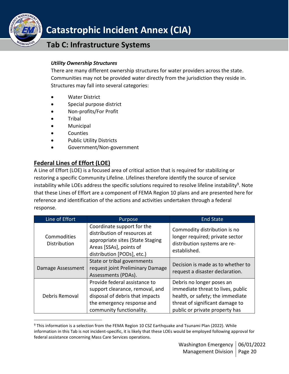

## **Tab C: Infrastructure Systems**

### *Utility Ownership Structures*

There are many different ownership structures for water providers across the state. Communities may not be provided water directly from the jurisdiction they reside in. Structures may fall into several categories:

- Water District
- Special purpose district
- Non-profits/For Profit
- Tribal
- Municipal
- **Counties**
- Public Utility Districts
- Government/Non-government

## <span id="page-19-0"></span>**Federal Lines of Effort (LOE)**

A Line of Effort (LOE) is a focused area of critical action that is required for stabilizing or restoring a specific Community Lifeline. Lifelines therefore identify the source of service instability while LOEs address the specific solutions required to resolve lifeline instability<sup>9</sup>. Note that these Lines of Effort are a component of FEMA Region 10 plans and are presented here for reference and identification of the actions and activities undertaken through a federal response.

| Line of Effort              | Purpose                                                                                                                                                       | <b>End State</b>                                                                                                                                                        |
|-----------------------------|---------------------------------------------------------------------------------------------------------------------------------------------------------------|-------------------------------------------------------------------------------------------------------------------------------------------------------------------------|
| Commodities<br>Distribution | Coordinate support for the<br>distribution of resources at<br>appropriate sites (State Staging<br>Areas [SSAs], points of<br>distribution [PODs], etc.)       | Commodity distribution is no<br>longer required; private sector<br>distribution systems are re-<br>established.                                                         |
| Damage Assessment           | State or tribal governments<br>request joint Preliminary Damage<br>Assessments (PDAs).                                                                        | Decision is made as to whether to<br>request a disaster declaration.                                                                                                    |
| Debris Removal              | Provide federal assistance to<br>support clearance, removal, and<br>disposal of debris that impacts<br>the emergency response and<br>community functionality. | Debris no longer poses an<br>immediate threat to lives, public<br>health, or safety; the immediate<br>threat of significant damage to<br>public or private property has |

<sup>&</sup>lt;sup>9</sup> This information is a selection from the FEMA Region 10 CSZ Earthquake and Tsunami Plan (2022). While information in this Tab is not incident-specific, it is likely that these LOEs would be employed following approval for federal assistance concerning Mass Care Services operations.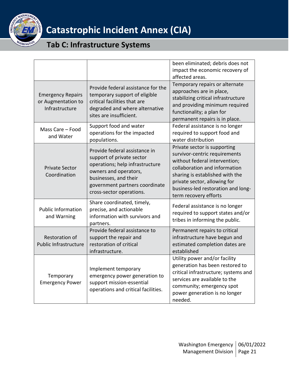

<span id="page-20-0"></span>

|                                                                                                                                                                                                                                      |                                                                                                                                                                                                               | been eliminated; debris does not<br>impact the economic recovery of<br>affected areas.                                                                                                                                                                            |
|--------------------------------------------------------------------------------------------------------------------------------------------------------------------------------------------------------------------------------------|---------------------------------------------------------------------------------------------------------------------------------------------------------------------------------------------------------------|-------------------------------------------------------------------------------------------------------------------------------------------------------------------------------------------------------------------------------------------------------------------|
| Provide federal assistance for the<br>temporary support of eligible<br><b>Emergency Repairs</b><br>critical facilities that are<br>or Augmentation to<br>Infrastructure<br>degraded and where alternative<br>sites are insufficient. |                                                                                                                                                                                                               | Temporary repairs or alternate<br>approaches are in place,<br>stabilizing critical infrastructure<br>and providing minimum required<br>functionality; a plan for<br>permanent repairs is in place.                                                                |
| Mass Care - Food<br>and Water                                                                                                                                                                                                        | Support food and water<br>operations for the impacted<br>populations.                                                                                                                                         | Federal assistance is no longer<br>required to support food and<br>water distribution                                                                                                                                                                             |
| <b>Private Sector</b><br>Coordination                                                                                                                                                                                                | Provide federal assistance in<br>support of private sector<br>operations; help infrastructure<br>owners and operators,<br>businesses, and their<br>government partners coordinate<br>cross-sector operations. | Private sector is supporting<br>survivor-centric requirements<br>without federal intervention;<br>collaboration and information<br>sharing is established with the<br>private sector, allowing for<br>business-led restoration and long-<br>term recovery efforts |
| <b>Public Information</b><br>and Warning                                                                                                                                                                                             | Share coordinated, timely,<br>precise, and actionable<br>information with survivors and<br>partners.                                                                                                          | Federal assistance is no longer<br>required to support states and/or<br>tribes in informing the public.                                                                                                                                                           |
| <b>Restoration of</b><br><b>Public Infrastructure</b>                                                                                                                                                                                | Provide federal assistance to<br>support the repair and<br>restoration of critical<br>infrastructure.                                                                                                         | Permanent repairs to critical<br>infrastructure have begun and<br>estimated completion dates are<br>established                                                                                                                                                   |
| Temporary<br><b>Emergency Power</b>                                                                                                                                                                                                  | Implement temporary<br>emergency power generation to<br>support mission-essential<br>operations and critical facilities.                                                                                      | Utility power and/or facility<br>generation has been restored to<br>critical infrastructure; systems and<br>services are available to the<br>community; emergency spot<br>power generation is no longer<br>needed.                                                |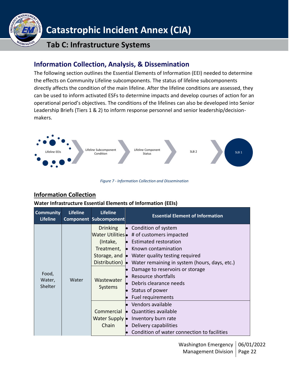

## **Tab C: Infrastructure Systems**

## **Information Collection, Analysis, & Dissemination**

The following section outlines the Essential Elements of Information (EEI) needed to determine the effects on Community Lifeline subcomponents. The status of lifeline subcomponents directly affects the condition of the main lifeline. After the lifeline conditions are assessed, they can be used to inform activated ESFs to determine impacts and develop courses of action for an operational period's objectives. The conditions of the lifelines can also be developed into Senior Leadership Briefs (Tiers 1 & 2) to inform response personnel and senior leadership/decisionmakers.



*Figure 7 - Information Collection and Dissemination*

## <span id="page-21-0"></span>**Information Collection**

#### **Water Infrastructure Essential Elements of Information (EEIs)**

| <b>Community</b><br><b>Lifeline</b> | <b>Lifeline</b>                   | <b>Lifeline</b><br><b>Component Subcomponent</b>                                                                                                                                                                                                                                                                                                                                                                                                    | <b>Essential Element of Information</b>                                                                                                                                                  |
|-------------------------------------|-----------------------------------|-----------------------------------------------------------------------------------------------------------------------------------------------------------------------------------------------------------------------------------------------------------------------------------------------------------------------------------------------------------------------------------------------------------------------------------------------------|------------------------------------------------------------------------------------------------------------------------------------------------------------------------------------------|
| Food,<br>Water<br>Water,<br>Shelter | (Intake,<br>Wastewater<br>Systems | Drinking $\bullet$ Condition of system<br>Water Utilities • # of customers impacted<br>$\bullet$ Estimated restoration<br>Treatment, • Known contamination<br>Storage, and $\bullet$ Water quality testing required<br>Distribution) • Water remaining in system (hours, days, etc.)<br>Damage to reservoirs or storage<br>• Resource shortfalls<br>$\bullet$ Debris clearance needs<br>$\bullet$ Status of power<br>Fuel requirements<br>$\bullet$ |                                                                                                                                                                                          |
|                                     |                                   | Chain                                                                                                                                                                                                                                                                                                                                                                                                                                               | $\bullet$ Vendors available<br>Commercial • Quantities available<br>Water Supply • Inventory burn rate<br>$\bullet$ Delivery capabilities<br>Condition of water connection to facilities |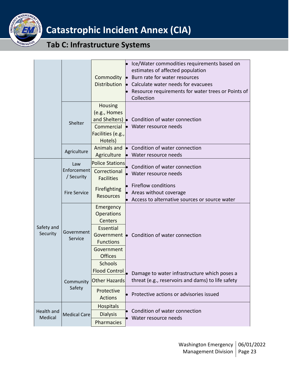

|                        |                                  | Commodity                                                   |           | $\bullet$ Ice/Water commodities requirements based on<br>estimates of affected population<br>$\bullet$ Burn rate for water resources<br>Distribution $\bullet$ Calculate water needs for evacuees<br>Resource requirements for water trees or Points of<br>Collection |
|------------------------|----------------------------------|-------------------------------------------------------------|-----------|-----------------------------------------------------------------------------------------------------------------------------------------------------------------------------------------------------------------------------------------------------------------------|
|                        | Shelter                          | Housing<br>(e.g., Homes<br>Facilities (e.g.,<br>Hotels)     |           | and Shelters) • Condition of water connection<br>Commercial • Water resource needs                                                                                                                                                                                    |
|                        | Agriculture                      | Agriculture                                                 | $\bullet$ | Animals and<br><b>Condition of water connection</b><br>Water resource needs                                                                                                                                                                                           |
|                        | Law<br>Enforcement<br>/ Security | <b>Police Stations</b><br>Correctional<br><b>Facilities</b> |           | Condition of water connection<br>Water resource needs                                                                                                                                                                                                                 |
|                        | <b>Fire Service</b>              | Firefighting<br><b>Resources</b>                            |           | • Fireflow conditions<br>Areas without coverage<br>• Access to alternative sources or source water                                                                                                                                                                    |
| Safety and<br>Security | Government<br>Service            | Emergency<br>Operations<br>Centers                          |           | Government • Condition of water connection                                                                                                                                                                                                                            |
|                        |                                  | Essential<br><b>Functions</b>                               |           |                                                                                                                                                                                                                                                                       |
|                        |                                  | Government<br><b>Offices</b><br><b>Schools</b>              |           |                                                                                                                                                                                                                                                                       |
|                        | Community<br>Safety              | Flood Control<br><b>Other Hazards</b>                       |           | Damage to water infrastructure which poses a<br>threat (e.g., reservoirs and dams) to life safety                                                                                                                                                                     |
|                        |                                  | Protective<br><b>Actions</b>                                |           | Protective actions or advisories issued                                                                                                                                                                                                                               |
| Health and<br>Medical  | <b>Medical Care</b>              | <b>Hospitals</b><br><b>Dialysis</b><br>Pharmacies           |           | Condition of water connection<br>Water resource needs                                                                                                                                                                                                                 |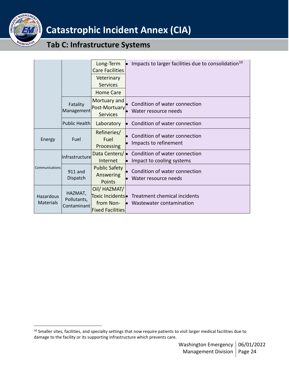

|                        |                                       | Long-Term<br><b>Care Facilities</b><br>Veterinary<br><b>Services</b><br><b>Home Care</b> | • Impacts to larger facilities due to consolidation <sup>10</sup>                       |
|------------------------|---------------------------------------|------------------------------------------------------------------------------------------|-----------------------------------------------------------------------------------------|
|                        | Fatality<br>Management                | Mortuary and<br>Post-Mortuary<br><b>Services</b>                                         | Condition of water connection<br>Water resource needs                                   |
|                        | <b>Public Health</b>                  | Laboratory                                                                               | Condition of water connection                                                           |
| Energy                 | Fuel                                  | Refineries/<br>Fuel<br>Processing                                                        | Condition of water connection<br>Impacts to refinement                                  |
|                        | Infrastructure                        | Data Centers/<br>Internet                                                                | Condition of water connection<br>Impact to cooling systems                              |
| Communications         | 911 and<br>Dispatch                   | <b>Public Safety</b><br><b>Answering</b><br><b>Points</b>                                | Condition of water connection<br>Water resource needs                                   |
| Hazardous<br>Materials | HAZMAT,<br>Pollutants,<br>Contaminant | Oil/ HAZMAT/<br>from Non-<br><b>Fixed Facilities</b>                                     | Toxic Incidents • Treatment chemical incidents<br>Wastewater contamination<br><b>le</b> |

<sup>&</sup>lt;sup>10</sup> Smaller sites, facilities, and specialty settings that now require patients to visit larger medical facilities due to damage to the facility or its supporting infrastructure which prevents care.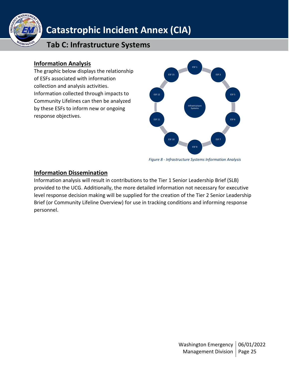

## **Tab C: Infrastructure Systems**

## <span id="page-24-0"></span>**Information Analysis**

The graphic below displays the relationship of ESFs associated with information collection and analysis activities. Information collected through impacts to Community Lifelines can then be analyzed by these ESFs to inform new or ongoing response objectives.



*Figure 8 - Infrastructure Systems Information Analysis*

## <span id="page-24-1"></span>**Information Dissemination**

Information analysis will result in contributions to the Tier 1 Senior Leadership Brief (SLB) provided to the UCG. Additionally, the more detailed information not necessary for executive level response decision making will be supplied for the creation of the Tier 2 Senior Leadership Brief (or Community Lifeline Overview) for use in tracking conditions and informing response personnel.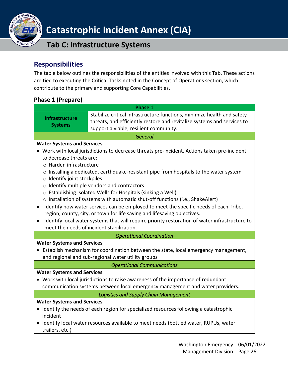

## **Tab C: Infrastructure Systems**

## <span id="page-25-0"></span>**Responsibilities**

The table below outlines the responsibilities of the entities involved with this Tab. These actions are tied to executing the Critical Tasks noted in the Concept of Operations section, which contribute to the primary and supporting Core Capabilities.

## <span id="page-25-1"></span>**Phase 1 (Prepare)**

| Phase 1                                                                                                                                                                                                                                                                                                                                                                                                                                                                                                                                                                                                                                                                                                                                                                 |                                                                                                                                                    |  |  |  |
|-------------------------------------------------------------------------------------------------------------------------------------------------------------------------------------------------------------------------------------------------------------------------------------------------------------------------------------------------------------------------------------------------------------------------------------------------------------------------------------------------------------------------------------------------------------------------------------------------------------------------------------------------------------------------------------------------------------------------------------------------------------------------|----------------------------------------------------------------------------------------------------------------------------------------------------|--|--|--|
| <b>Infrastructure</b><br><b>Systems</b>                                                                                                                                                                                                                                                                                                                                                                                                                                                                                                                                                                                                                                                                                                                                 | Stabilize critical infrastructure functions, minimize health and safety<br>threats, and efficiently restore and revitalize systems and services to |  |  |  |
|                                                                                                                                                                                                                                                                                                                                                                                                                                                                                                                                                                                                                                                                                                                                                                         | support a viable, resilient community.                                                                                                             |  |  |  |
|                                                                                                                                                                                                                                                                                                                                                                                                                                                                                                                                                                                                                                                                                                                                                                         | <b>General</b>                                                                                                                                     |  |  |  |
| <b>Water Systems and Services</b>                                                                                                                                                                                                                                                                                                                                                                                                                                                                                                                                                                                                                                                                                                                                       |                                                                                                                                                    |  |  |  |
| • Work with local jurisdictions to decrease threats pre-incident. Actions taken pre-incident<br>to decrease threats are:<br>o Harden infrastructure<br>$\circ$ Installing a dedicated, earthquake-resistant pipe from hospitals to the water system<br>o Identify joint stockpiles<br>o Identify multiple vendors and contractors<br>o Establishing Isolated Wells for Hospitals (sinking a Well)<br>o Installation of systems with automatic shut-off functions (i.e., ShakeAlert)<br>Identify how water services can be employed to meet the specific needs of each Tribe,<br>$\bullet$<br>region, county, city, or town for life saving and lifesaving objectives.<br>Identify local water systems that will require priority restoration of water infrastructure to |                                                                                                                                                    |  |  |  |
|                                                                                                                                                                                                                                                                                                                                                                                                                                                                                                                                                                                                                                                                                                                                                                         | meet the needs of incident stabilization.<br><b>Operational Coordination</b>                                                                       |  |  |  |
| <b>Water Systems and Services</b><br>• Establish mechanism for coordination between the state, local emergency management,<br>and regional and sub-regional water utility groups                                                                                                                                                                                                                                                                                                                                                                                                                                                                                                                                                                                        |                                                                                                                                                    |  |  |  |
| <b>Operational Communications</b>                                                                                                                                                                                                                                                                                                                                                                                                                                                                                                                                                                                                                                                                                                                                       |                                                                                                                                                    |  |  |  |
| <b>Water Systems and Services</b><br>• Work with local jurisdictions to raise awareness of the importance of redundant<br>communication systems between local emergency management and water providers.                                                                                                                                                                                                                                                                                                                                                                                                                                                                                                                                                                 |                                                                                                                                                    |  |  |  |
| <b>Logistics and Supply Chain Management</b>                                                                                                                                                                                                                                                                                                                                                                                                                                                                                                                                                                                                                                                                                                                            |                                                                                                                                                    |  |  |  |
| <b>Water Systems and Services</b><br>• Identify the needs of each region for specialized resources following a catastrophic<br>incident<br>• Identify local water resources available to meet needs (bottled water, RUPUs, water<br>trailers, etc.)                                                                                                                                                                                                                                                                                                                                                                                                                                                                                                                     |                                                                                                                                                    |  |  |  |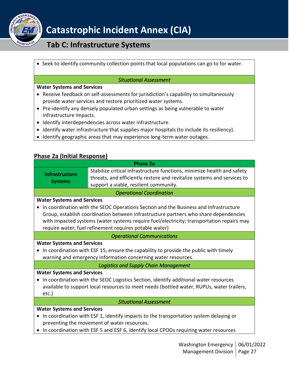

## **Tab C: Infrastructure Systems**

• Seek to identify community collection points that local populations can go to for water.

#### *Situational Assessment*

#### **Water Systems and Services**

- Receive feedback on self-assessments for jurisdiction's capability to simultaneously provide water services and restore prioritized water systems.
- Pre-identify any densely populated urban settings as being vulnerable to water infrastructure impacts.
- Identify interdependencies across water infrastructure.
- Identify water infrastructure that supplies major hospitals (to include its resiliency).
- Identify geographic areas that may experience long-term water outages.

### <span id="page-26-0"></span>**Phase 2a (Initial Response)**

| <b>Phase 2a</b>                                                                           |                                                                                           |  |  |  |
|-------------------------------------------------------------------------------------------|-------------------------------------------------------------------------------------------|--|--|--|
| <b>Infrastructure</b>                                                                     | Stabilize critical infrastructure functions, minimize health and safety                   |  |  |  |
| <b>Systems</b>                                                                            | threats, and efficiently restore and revitalize systems and services to                   |  |  |  |
|                                                                                           | support a viable, resilient community.                                                    |  |  |  |
|                                                                                           | <b>Operational Coordination</b>                                                           |  |  |  |
| <b>Water Systems and Services</b>                                                         |                                                                                           |  |  |  |
|                                                                                           | • In coordination with the SEOC Operations Section and the Business and Infrastructure    |  |  |  |
|                                                                                           | Group, establish coordination between infrastructure partners who share dependencies      |  |  |  |
|                                                                                           | with impacted systems (water systems require fuel/electricity; transportation repairs may |  |  |  |
|                                                                                           | require water; fuel refinement requires potable water)                                    |  |  |  |
|                                                                                           | <b>Operational Communications</b>                                                         |  |  |  |
| <b>Water Systems and Services</b>                                                         |                                                                                           |  |  |  |
|                                                                                           | In coordination with ESF 15, ensure the capability to provide the public with timely      |  |  |  |
| warning and emergency information concerning water resources.                             |                                                                                           |  |  |  |
| <b>Logistics and Supply Chain Management</b>                                              |                                                                                           |  |  |  |
| <b>Water Systems and Services</b>                                                         |                                                                                           |  |  |  |
| $\bullet$                                                                                 | In coordination with the SEOC Logistics Section, identify additional water resources      |  |  |  |
| available to support local resources to meet needs (bottled water, RUPUs, water trailers, |                                                                                           |  |  |  |
| $etc.$ )                                                                                  |                                                                                           |  |  |  |
| <b>Situational Assessment</b>                                                             |                                                                                           |  |  |  |
| <b>Water Systems and Services</b>                                                         |                                                                                           |  |  |  |
|                                                                                           | • In coordination with ESF 1, identify impacts to the transportation system delaying or   |  |  |  |
|                                                                                           | preventing the movement of water resources.                                               |  |  |  |
|                                                                                           | • In coordination with ESF 5 and ESF 6, identify local CPODs requiring water resources    |  |  |  |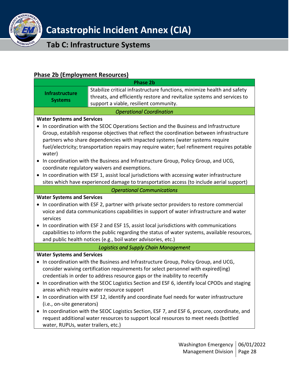

## **Tab C: Infrastructure Systems**

## <span id="page-27-0"></span>**Phase 2b (Employment Resources)**

| <u>Hase ED   Employment Resources  </u> | <b>Phase 2b</b>                                                                               |
|-----------------------------------------|-----------------------------------------------------------------------------------------------|
|                                         | Stabilize critical infrastructure functions, minimize health and safety                       |
| <b>Infrastructure</b>                   | threats, and efficiently restore and revitalize systems and services to                       |
| <b>Systems</b>                          | support a viable, resilient community.                                                        |
|                                         | <b>Operational Coordination</b>                                                               |
| <b>Water Systems and Services</b>       |                                                                                               |
|                                         | In coordination with the SEOC Operations Section and the Business and Infrastructure          |
|                                         | Group, establish response objectives that reflect the coordination between infrastructure     |
|                                         | partners who share dependencies with impacted systems (water systems require                  |
| water)                                  | fuel/electricity; transportation repairs may require water; fuel refinement requires potable  |
|                                         | In coordination with the Business and Infrastructure Group, Policy Group, and UCG,            |
|                                         | coordinate regulatory waivers and exemptions.                                                 |
|                                         | In coordination with ESF 1, assist local jurisdictions with accessing water infrastructure    |
|                                         | sites which have experienced damage to transportation access (to include aerial support)      |
|                                         | <b>Operational Communications</b>                                                             |
| <b>Water Systems and Services</b>       |                                                                                               |
|                                         | In coordination with ESF 2, partner with private sector providers to restore commercial       |
|                                         | voice and data communications capabilities in support of water infrastructure and water       |
| services                                |                                                                                               |
|                                         | In coordination with ESF 2 and ESF 15, assist local jurisdictions with communications         |
|                                         | capabilities to inform the public regarding the status of water systems, available resources, |
|                                         | and public health notices (e.g., boil water advisories, etc.)                                 |
|                                         | <b>Logistics and Supply Chain Management</b>                                                  |
| <b>Water Systems and Services</b>       |                                                                                               |
|                                         | In coordination with the Business and Infrastructure Group, Policy Group, and UCG,            |
|                                         | consider waiving certification requirements for select personnel with expired(ing)            |
|                                         | credentials in order to address resource gaps or the inability to recertify                   |
|                                         | • In coordination with the SEOC Logistics Section and ESF 6, identify local CPODs and staging |
|                                         | areas which require water resource support                                                    |
|                                         | In coordination with ESF 12, identify and coordinate fuel needs for water infrastructure      |
| (i.e., on-site generators)              |                                                                                               |
|                                         | In coordination with the SEOC Logistics Section, ESF 7, and ESF 6, procure, coordinate, and   |
|                                         | request additional water resources to support local resources to meet needs (bottled          |
| water, RUPUs, water trailers, etc.)     |                                                                                               |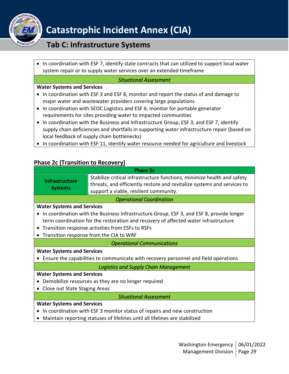

## **Tab C: Infrastructure Systems**

• In coordination with ESF 7, identify state contracts that can utilized to support local water system repair or to supply water services over an extended timeframe

#### *Situational Assessment*

#### **Water Systems and Services**

- In coordination with ESF 3 and ESF 8, monitor and report the status of and damage to major water and wastewater providers covering large populations
- In coordination with SEOC Logistics and ESF 6, monitor for portable generator requirements for sites providing water to impacted communities
- In coordination with the Business and Infrastructure Group, ESF 3, and ESF 7, identify supply chain deficiencies and shortfalls in supporting water infrastructure repair (based on local feedback of supply chain bottlenecks)
- In coordination with ESF 11, identify water resource needed for agriculture and livestock

## <span id="page-28-0"></span>**Phase 2c (Transition to Recovery)**

| <b>Phase 2c</b>                                                                          |                                                                                                                                                                                              |  |
|------------------------------------------------------------------------------------------|----------------------------------------------------------------------------------------------------------------------------------------------------------------------------------------------|--|
| <b>Infrastructure</b><br><b>Systems</b>                                                  | Stabilize critical infrastructure functions, minimize health and safety<br>threats, and efficiently restore and revitalize systems and services to<br>support a viable, resilient community. |  |
| <b>Operational Coordination</b>                                                          |                                                                                                                                                                                              |  |
| <b>Water Systems and Services</b>                                                        |                                                                                                                                                                                              |  |
| In coordination with the Business Infrastructure Group, ESF 3, and ESF 8, provide longer |                                                                                                                                                                                              |  |
| term coordination for the restoration and recovery of affected water infrastructure      |                                                                                                                                                                                              |  |
| Transition response activities from ESFs to RSFs                                         |                                                                                                                                                                                              |  |
| Transition response from the CIA to WRF<br>$\bullet$                                     |                                                                                                                                                                                              |  |
| <b>Operational Communications</b>                                                        |                                                                                                                                                                                              |  |
| <b>Water Systems and Services</b>                                                        |                                                                                                                                                                                              |  |
| Ensure the capabilities to communicate with recovery personnel and field operations      |                                                                                                                                                                                              |  |
| <b>Logistics and Supply Chain Management</b>                                             |                                                                                                                                                                                              |  |
| <b>Water Systems and Services</b>                                                        |                                                                                                                                                                                              |  |
| Demobilize resources as they are no longer required                                      |                                                                                                                                                                                              |  |
| Close out State Staging Areas<br>$\bullet$                                               |                                                                                                                                                                                              |  |
| <b>Situational Assessment</b>                                                            |                                                                                                                                                                                              |  |
| <b>Water Systems and Services</b>                                                        |                                                                                                                                                                                              |  |
| In coordination with ESF 3 monitor status of repairs and new construction                |                                                                                                                                                                                              |  |
|                                                                                          | Maintain reporting statuses of lifelines until all lifelines are stabilized                                                                                                                  |  |